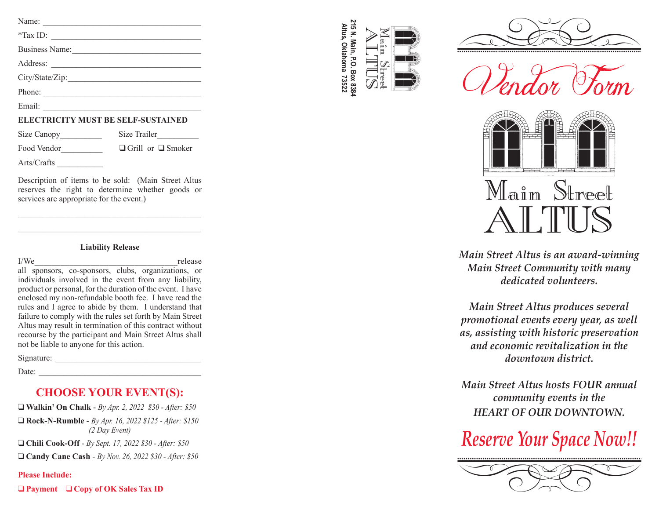### **ELECTRICITY MUST BE SELF-SUSTAINED**

| Size Canopy | Size Trailer                  |
|-------------|-------------------------------|
| Food Vendor | $\Box$ Grill or $\Box$ Smoker |

Arts/Crafts \_\_\_\_\_\_\_\_\_\_\_

Description of items to be sold: (Main Street Altus reserves the right to determine whether goods or services are appropriate for the event.)

\_\_\_\_\_\_\_\_\_\_\_\_\_\_\_\_\_\_\_\_\_\_\_\_\_\_\_\_\_\_\_\_\_\_\_\_\_\_\_\_\_\_\_\_ \_\_\_\_\_\_\_\_\_\_\_\_\_\_\_\_\_\_\_\_\_\_\_\_\_\_\_\_\_\_\_\_\_\_\_\_\_\_\_\_\_\_\_\_

#### **Liability Release**

I/We release all sponsors, co-sponsors, clubs, organizations, or individuals involved in the event from any liability, product or personal, for the duration of the event. I have enclosed my non-refundable booth fee. I have read the rules and I agree to abide by them. I understand that failure to comply with the rules set forth by Main Street Altus may result in termination of this contract without recourse by the participant and Main Street Altus shall not be liable to anyone for this action.

Signature:

 $Date:$ 

# **CHOOSE YOUR EVENT(S):**

q **Walkin' On Chalk** - *By Apr. 2, 2022 \$30 - After: \$50* q **Rock-N-Rumble** - *By Apr. 16, 2022 \$125 - After: \$150 (2 Day Event)*

q **Chili Cook-Off** - *By Sept. 17, 2022 \$30 - After: \$50*

q **Candy Cane Cash** - *By Nov. 26, 2022 \$30 - After: \$50*

### **Please Include:**

q **Payment** q **Copy of OK Sales Tax ID**

215 N. Main, P.O. Box 8384 **215 N. Main, P.O. Box 8384** Altus, Oklahoma 73522 **Altus, Oklahoma 73522**







*Main Street Altus is an award-winning Main Street Community with many dedicated volunteers.*

*Main Street Altus produces several promotional events every year, as well as, assisting with historic preservation and economic revitalization in the downtown district.*

*Main Street Altus hosts FOUR annual community events in the HEART OF OUR DOWNTOWN.* 

# *Reserve Your Space Now!!*